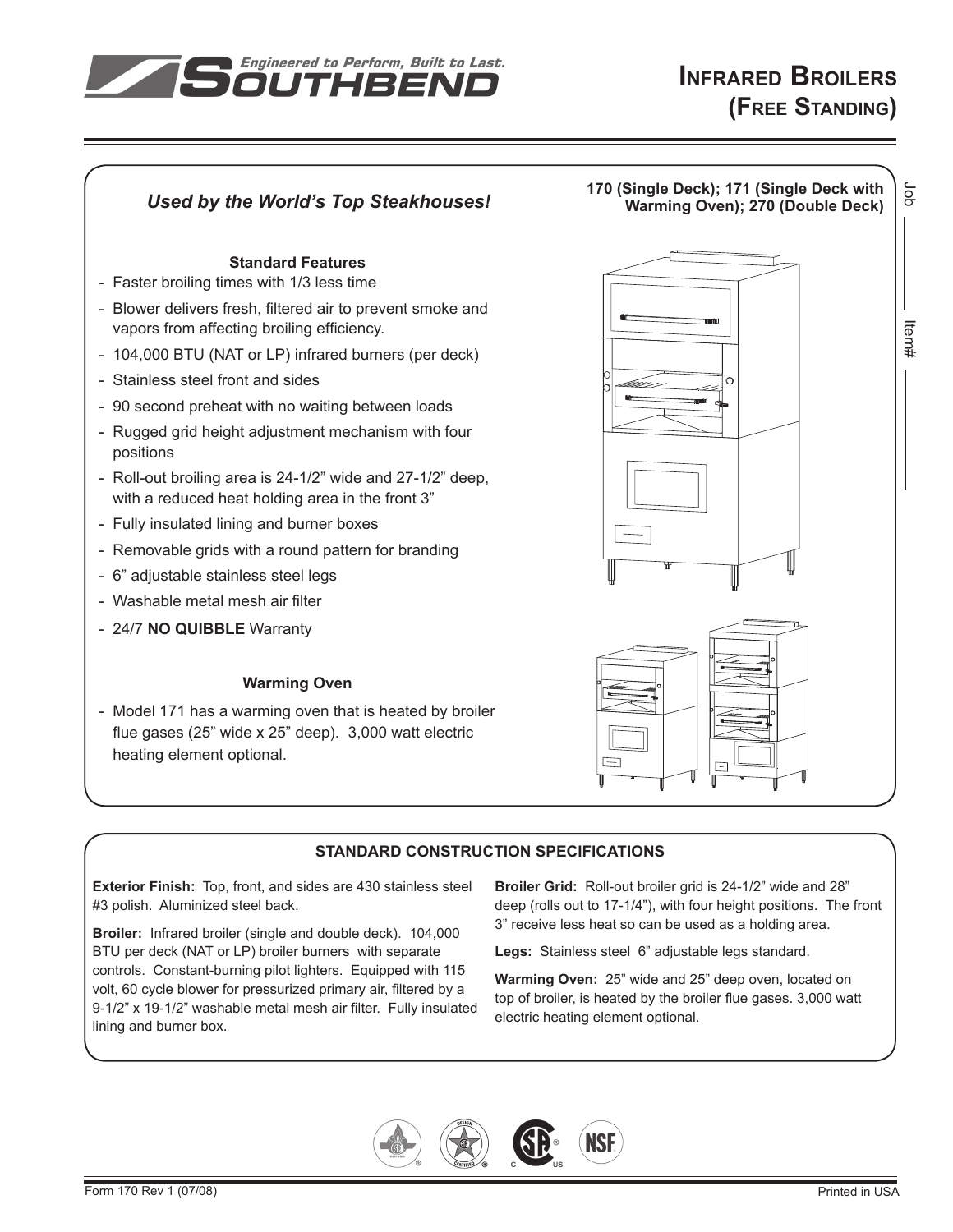



# **Standard CONSTRUCTION SPECIFICATIONS**

**Exterior Finish:** Top, front, and sides are 430 stainless steel #3 polish. Aluminized steel back.

**Broiler:** Infrared broiler (single and double deck). 104,000 BTU per deck (NAT or LP) broiler burners with separate controls. Constant-burning pilot lighters. Equipped with 115 volt, 60 cycle blower for pressurized primary air, filtered by a 9-1/2" x 19-1/2" washable metal mesh air filter. Fully insulated lining and burner box.

**Broiler Grid:** Roll-out broiler grid is 24-1/2" wide and 28" deep (rolls out to 17-1/4"), with four height positions. The front 3" receive less heat so can be used as a holding area.

**Legs:** Stainless steel 6" adjustable legs standard.

**Warming Oven:** 25" wide and 25" deep oven, located on top of broiler, is heated by the broiler flue gases. 3,000 watt electric heating element optional.